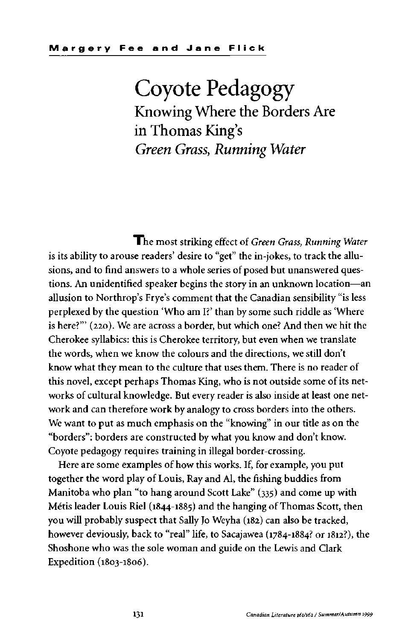## Coyote Pedagogy Knowing Where the Borders Are in Thomas King's *Green Grass, Running Water*

The most striking effect of *Green Grass, Running Water* is its ability to arouse readers' desire to "get" the in-jokes, to track the allusions, and to find answers to a whole series of posed but unanswered questions. An unidentified speaker begins the story in an unknown location—an allusion to Northrop's Frye's comment that the Canadian sensibility "is less perplexed by the question 'Who am I?' than by some such riddle as 'Where is here?'" (220). We are across a border, but which one? And then we hit the Cherokee syllabics: this is Cherokee territory, but even when we translate the words, when we know the colours and the directions, we still don't know what they mean to the culture that uses them. There is no reader of this novel, except perhaps Thomas King, who is not outside some of its networks of cultural knowledge. But every reader is also inside at least one network and can therefore work by analogy to cross borders into the others. We want to put as much emphasis on the "knowing" in our title as on the "borders": borders are constructed by what you know and don't know. Coyote pedagogy requires training in illegal border-crossing.

Here are some examples of how this works. If, for example, you put together the word play of Louis, Ray and Al, the fishing buddies from Manitoba who plan "to hang around Scott Lake" (335) and come up with Métis leader Louis Riel (1844-1885) and the hanging of Thomas Scott, then you will probably suspect that Sally Jo Weyha (182) can also be tracked, however deviously, back to "real" life, to Sacajawea (1784-1884? or 1812?), the Shoshone who was the sole woman and guide on the Lewis and Clark Expedition (1803-1806).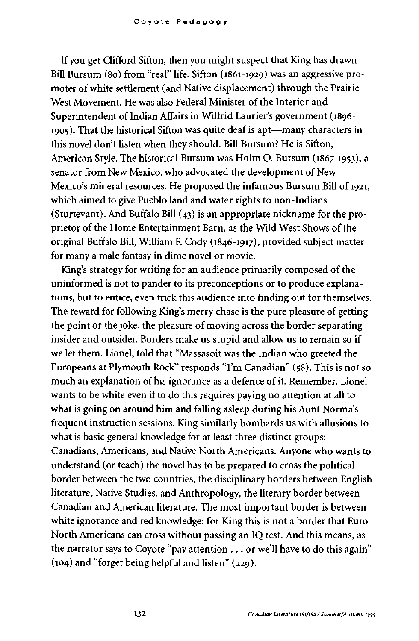If you get Clifford Sifton, then you might suspect that King has drawn Bill Bursum (80) from "real" life. Sifton (1861-1929) was an aggressive promoter of white settlement (and Native displacement) through the Prairie West Movement. He was also Federal Minister of the Interior and Superintendent of Indian Affairs in Wilfrid Laurier's government (1896- 1905). That the historical Sifton was quite deaf is apt—many characters in this novel don't listen when they should. Bill Bursum? He is Sifton, American Style. The historical Bursum was Holm O. Bursum (1867-1953), a senator from New Mexico, who advocated the development of New Mexico's mineral resources. He proposed the infamous Bursum Bill of 1921, which aimed to give Pueblo land and water rights to non-Indians (Sturtevant). And Buffalo Bill (43) is an appropriate nickname for the proprietor of the Home Entertainment Barn, as the Wild West Shows of the original Buffalo Bill, William R Cody (1846-1917), provided subject matter for many a male fantasy in dime novel or movie.

King's strategy for writing for an audience primarily composed of the uninformed is not to pander to its preconceptions or to produce explanations, but to entice, even trick this audience into finding out for themselves. The reward for following King's merry chase is the pure pleasure of getting the point or the joke, the pleasure of moving across the border separating insider and outsider. Borders make us stupid and allow us to remain so if we let them. Lionel, told that "Massasoit was the Indian who greeted the Europeans at Plymouth Rock" responds "I'm Canadian" (58). This is not so much an explanation of his ignorance as a defence of it. Remember, Lionel wants to be white even if to do this requires paying no attention at all to what is going on around him and falling asleep during his Aunt Norma's frequent instruction sessions. King similarly bombards us with allusions to what is basic general knowledge for at least three distinct groups: Canadians, Americans, and Native North Americans. Anyone who wants to understand (or teach) the novel has to be prepared to cross the political border between the two countries, the disciplinary borders between English literature, Native Studies, and Anthropology, the literary border between Canadian and American literature. The most important border is between white ignorance and red knowledge: for King this is not a border that Euro-North Americans can cross without passing an IQ test. And this means, as the narrator says to Coyote "pay attention ... or we'll have to do this again" (104) and "forget being helpful and listen" (229).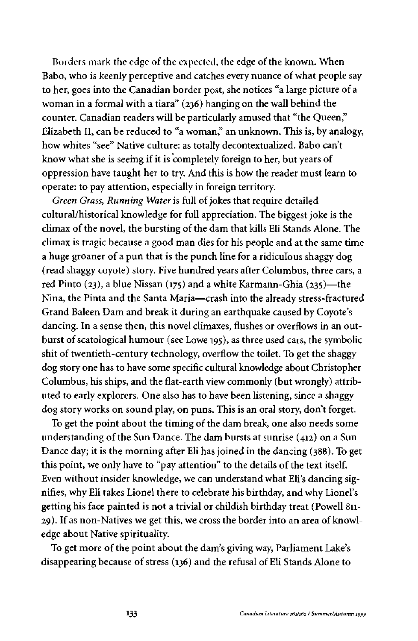Borders mark the edge of the expected, the edge of the known. When Babo, who is keenly perceptive and catches every nuance of what people say to her, goes into the Canadian border post, she notices "a large picture of a woman in a formal with a tiara" (236) hanging on the wall behind the counter. Canadian readers will be particularly amused that "the Queen," Elizabeth II, can be reduced to "a woman," an unknown. This is, by analogy, how whites "see" Native culture: as totally decontextualized. Babo can't know what she is seeing if it is completely foreign to her, but years of oppression have taught her to try. And this is how the reader must learn to operate: to pay attention, especially in foreign territory.

*Green Grass, Running Water* is full of jokes that require detailed cultural/historical knowledge for full appreciation. The biggest joke is the climax of the novel, the bursting of the dam that kills Eli Stands Alone. The climax is tragic because a good man dies for his people and at the same time a huge groaner of a pun that is the punch line for a ridiculous shaggy dog (read shaggy coyote) story. Five hundred years after Columbus, three cars, a red Pinto (23), a blue Nissan (175) and a white Karmann-Ghia (235)—the Nina, the Pinta and the Santa Maria—crash into the already stress-fractured Grand Baleen Dam and break it during an earthquake caused by Coyote's dancing. In a sense then, this novel climaxes, flushes or overflows in an outburst of scatological humour (see Lowe 195), as three used cars, the symbolic shit of twentieth-century technology, overflow the toilet. To get the shaggy dog story one has to have some specific cultural knowledge about Christopher Columbus, his ships, and the flat-earth view commonly (but wrongly) attributed to early explorers. One also has to have been listening, since a shaggy dog story works on sound play, on puns. This is an oral story, don't forget.

To get the point about the timing of the dam break, one also needs some understanding of the Sun Dance. The dam bursts at sunrise (412) on a Sun Dance day; it is the morning after Eli has joined in the dancing (388). To get this point, we only have to "pay attention" to the details of the text itself. Even without insider knowledge, we can understand what Eli's dancing signifies, why Eli takes Lionel there to celebrate his birthday, and why Lionel's getting his face painted is not a trivial or childish birthday treat (Powell 811- 29). If as non-Natives we get this, we cross the border into an area of knowledge about Native spirituality.

To get more of the point about the dam's giving way, Parliament Lake's disappearing because of stress (136) and the refusal of Eli Stands Alone to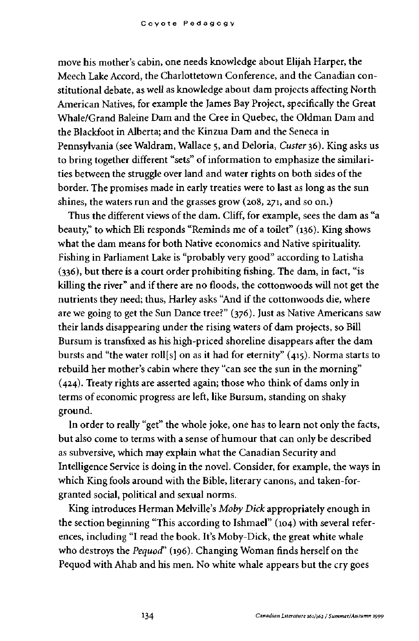move his mother's cabin, one needs knowledge about Elijah Harper, the Meech Lake Accord, the Charlottetown Conference, and the Canadian constitutional debate, as well as knowledge about dam projects affecting North American Natives, for example the James Bay Project, specifically the Great Whale/Grand Baleine Dam and the Cree in Quebec, the Oldman Dam and the Blackfoot in Alberta; and the Kinzua Dam and the Seneca in Pennsylvania (see Waldram, Wallace 5, and Deloria, *Custer* 36). King asks us to bring together different "sets" of information to emphasize the similarities between the struggle over land and water rights on both sides of the border. The promises made in early treaties were to last as long as the sun shines, the waters run and the grasses grow (208, 271, and so on.)

Thus the different views of the dam. Cliff, for example, sees the dam as "a beauty," to which Eli responds "Reminds me of a toilet" (136). King shows what the dam means for both Native economics and Native spirituality. Fishing in Parliament Lake is "probably very good" according to Latisha (336), but there is a court order prohibiting fishing. The dam, in fact, "is killing the river" and if there are no floods, the cottonwoods will not get the nutrients they need; thus, Harley asks "And if the cottonwoods die, where are we going to get the Sun Dance tree?" (376). Just as Native Americans saw their lands disappearing under the rising waters of dam projects, so Bill Bursum is transfixed as his high-priced shoreline disappears after the dam bursts and "the water roll[s] on as it had for eternity" (415). Norma starts to rebuild her mother's cabin where they "can see the sun in the morning" (424). Treaty rights are asserted again; those who think of dams only in terms of economic progress are left, like Bursum, standing on shaky ground.

In order to really "get" the whole joke, one has to learn not only the facts, but also come to terms with a sense of humour that can only be described as subversive, which may explain what the Canadian Security and Intelligence Service is doing in the novel. Consider, for example, the ways in which King fools around with the Bible, literary canons, and taken-forgranted social, political and sexual norms.

King introduces Herman Melville's *Moby Dick* appropriately enough in the section beginning "This according to Ishmael" (104) with several references, including "I read the book. It's Moby-Dick, the great white whale who destroys the *Pequod"* (196). Changing Woman finds herself on the Pequod with Ahab and his men. No white whale appears but the cry goes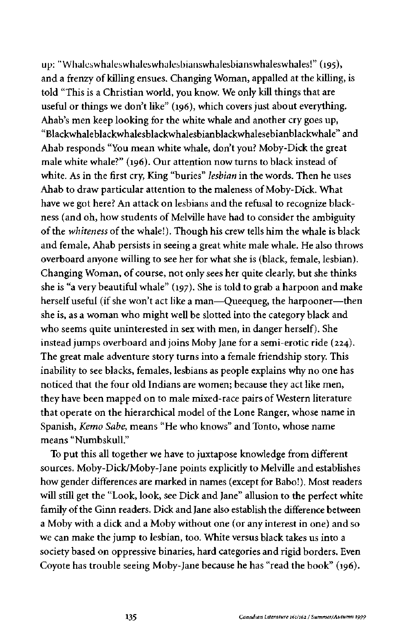up: "Whales whales whales whalesbianswhalesbianswhaleswhales!" (195), and a frenzy of killing ensues. Changing Woman, appalled at the killing, is told "This is a Christian world, you know. We only kill things that are useful or things we don't like" (196), which covers just about everything. Ahab's men keep looking for the white whale and another cry goes up, "Blackwhaleblackwhalesblackwhalesbianblackwhalesebianblackwhale" and Ahab responds "You mean white whale, don't you? Moby-Dick the great male white whale?" (196). Our attention now turns to black instead of white. As in the first cry, King "buries" *lesbian* in the words. Then he uses Ahab to draw particular attention to the maleness of Moby-Dick. What have we got here? An attack on lesbians and the refusal to recognize blackness (and oh, how students of Melville have had to consider the ambiguity of the *whiteness* of the whale!). Though his crew tells him the whale is black and female, Ahab persists in seeing a great white male whale. He also throws overboard anyone willing to see her for what she is (black, female, lesbian). Changing Woman, of course, not only sees her quite clearly, but she thinks she is "a very beautiful whale" (197). She is told to grab a harpoon and make herself useful (if she won't act like a man—Queequeg, the harpooner—then she is, as a woman who might well be slotted into the category black and who seems quite uninterested in sex with men, in danger herself). She instead jumps overboard and joins Moby Jane for a semi-erotic ride (224). The great male adventure story turns into a female friendship story. This inability to see blacks, females, lesbians as people explains why no one has noticed that the four old Indians are women; because they act like men, they have been mapped on to male mixed-race pairs of Western literature that operate on the hierarchical model of the Lone Ranger, whose name in Spanish, *Kemo Sabe,* means "He who knows" and Tonto, whose name means "Numbskull."

To put this all together we have to juxtapose knowledge from different sources. Moby-Dick/Moby-Jane points explicitly to Melville and establishes how gender differences are marked in names (except for Babo!). Most readers will still get the "Look, look, see Dick and Jane" allusion to the perfect white family of the Ginn readers. Dick and Jane also establish the difference between a Moby with a dick and a Moby without one (or any interest in one) and so we can make the jump to lesbian, too. White versus black takes us into a society based on oppressive binaries, hard categories and rigid borders. Even Coyote has trouble seeing Moby-Jane because he has "read the book" (196).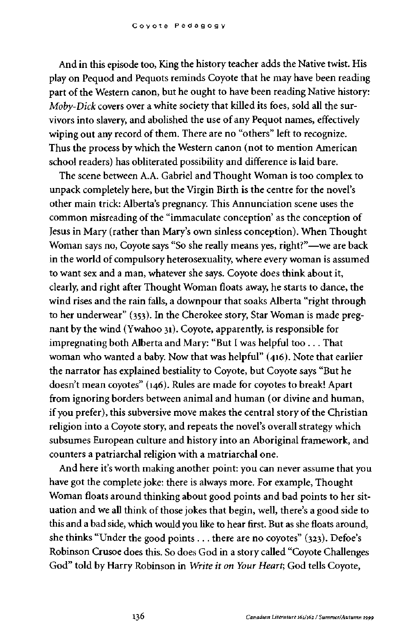And in this episode too, King the history teacher adds the Native twist. His play on Pequod and Pequots reminds Coyote that he may have been reading part of the Western canon, but he ought to have been reading Native history: *Moby-Dick* covers over a white society that killed its foes, sold all the survivors into slavery, and abolished the use of any Pequot names, effectively wiping out any record of them. There are no "others" left to recognize. Thus the process by which the Western canon (not to mention American school readers) has obliterated possibility and difference is laid bare.

The scene between A.A. Gabriel and Thought Woman is too complex to unpack completely here, but the Virgin Birth is the centre for the novel's other main trick: Alberta's pregnancy. This Annunciation scene uses the common misreading of the "immaculate conception' as the conception of Jesus in Mary (rather than Mary's own sinless conception). When Thought Woman says no, Coyote says "So she really means yes, right?"—we are back in the world of compulsory heterosexuality, where every woman is assumed to want sex and a man, whatever she says. Coyote does think about it, clearly, and right after Thought Woman floats away, he starts to dance, the wind rises and the rain falls, a downpour that soaks Alberta "right through to her underwear" (353). In the Cherokee story, Star Woman is made pregnant by the wind (Ywahoo 31). Coyote, apparently, is responsible for impregnating both Alberta and Mary: "But I was helpful too ... That woman who wanted a baby. Now that was helpful" (416). Note that earlier the narrator has explained bestiality to Coyote, but Coyote says "But he doesn't mean coyotes" (146). Rules are made for coyotes to break! Apart from ignoring borders between animal and human (or divine and human, if you prefer), this subversive move makes the central story of the Christian religion into a Coyote story, and repeats the novel's overall strategy which subsumes European culture and history into an Aboriginal framework, and counters a patriarchal religion with a matriarchal one.

And here it's worth making another point: you can never assume that you have got the complete joke: there is always more. For example, Thought Woman floats around thinking about good points and bad points to her situation and we all think of those jokes that begin, well, there's a good side to this and a bad side, which would you like to hear first. But as she floats around, she thinks "Under the good points .. . there are no coyotes" (323). Defoe's Robinson Crusoe does this. So does God in a story called "Coyote Challenges God" told by Harry Robinson in *Write it on Your Heart,* God tells Coyote,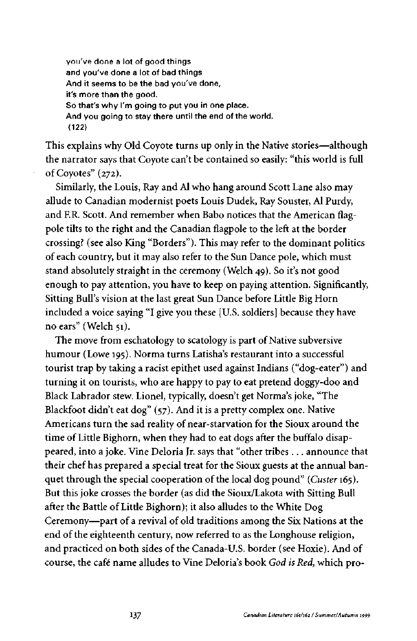you've done a lot of good things and you've done a lot of bad things And it seems to be the bad you've done, it's more than the good. So that's why I'm going to put you in one place. And you going to stay there until the end of the world. (122)

This explains why Old Coyote turns up only in the Native stories—although the narrator says that Coyote can't be contained so easily: "this world is full of Coyotes" (272).

Similarly, the Louis, Ray and Al who hang around Scott Lane also may allude to Canadian modernist poets Louis Dudek, Ray Souster, Al Purdy, and ER. Scott. And remember when Babo notices that the American flagpole tilts to the right and the Canadian flagpole to the left at the border crossing? (see also King "Borders"). This may refer to the dominant politics of each country, but it may also refer to the Sun Dance pole, which must stand absolutely straight in the ceremony (Welch 49). So it's not good enough to pay attention, you have to keep on paying attention. Significantly, Sitting Bull's vision at the last great Sun Dance before Little Big Horn included a voice saying "I give you these [U.S. soldiers] because they have no ears" (Welch 51).

The move from eschatology to scatology is part of Native subversive humour (Lowe 195). Norma turns Latisha's restaurant into a successful tourist trap by taking a racist epithet used against Indians ("dog-eater") and turning it on tourists, who are happy to pay to eat pretend doggy-doo and Black Labrador stew. Lionel, typically, doesn't get Norma's joke, "The Blackfoot didn't eat dog" (57). And it is a pretty complex one. Native Americans turn the sad reality of near-starvation for the Sioux around the time of Little Bighorn, when they had to eat dogs after the buffalo disappeared, into a joke. Vine Deloria Jr. says that "other tribes ... announce that their chef has prepared a special treat for the Sioux guests at the annual banquet through the special cooperation of the local dog pound" *(Custer* 165). But this joke crosses the border (as did the Sioux/Lakota with Sitting Bull after the Battle of Little Bighorn); it also alludes to the White Dog Ceremony—part of a revival of old traditions among the Six Nations at the end of the eighteenth century, now referred to as the Longhouse religion, and practiced on both sides of the Canada-U.S. border (see Hoxie). And of course, the café name alludes to Vine Deloria's book *God is Red,* which pro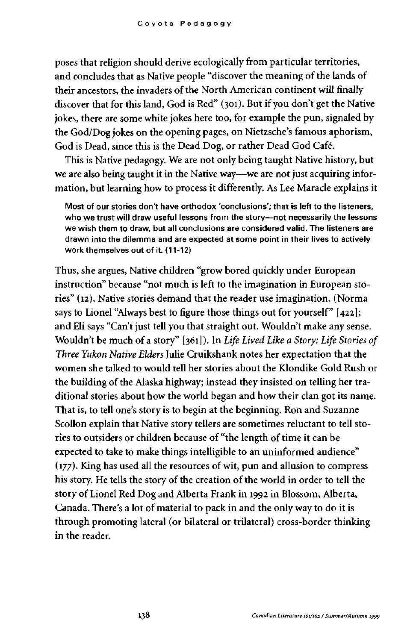poses that religion should derive ecologically from particular territories, and concludes that as Native people "discover the meaning of the lands of their ancestors, the invaders of the North American continent will finally discover that for this land, God is Red" (301). But if you don't get the Native jokes, there are some white jokes here too, for example the pun, signaled by the God/Dog jokes on the opening pages, on Nietzsche's famous aphorism, God is Dead, since this is the Dead Dog, or rather Dead God Café.

This is Native pedagogy. We are not only being taught Native history, but we are also being taught it in the Native way—we are not just acquiring information, but learning how to process it differently. As Lee Maracle explains it

Most of our stories don't have orthodox 'conclusions'; that is left to the listeners, who we trust will draw useful lessons from the story—not necessarily the lessons we wish them to draw, but all conclusions are considered valid. The listeners are drawn into the dilemma and are expected at some point in their lives to actively work themselves out of it. (11-12)

Thus, she argues, Native children "grow bored quickly under European instruction" because "not much is left to the imagination in European stories" (12). Native stories demand that the reader use imagination. (Norma says to Lionel "Always best to figure those things out for yourself" [422]; and Eli says "Can't just tell you that straight out. Wouldn't make any sense. Wouldn't be much of a story" [361] ). In *Life Lived Like a Story: Life Stories of Three Yukon Native Elders* Julie Cruikshank notes her expectation that the women she talked to would tell her stories about the Klondike Gold Rush or the building of the Alaska highway; instead they insisted on telling her traditional stories about how the world began and how their clan got its name. That is, to tell one's story is to begin at the beginning. Ron and Suzanne Scollon explain that Native story tellers are sometimes reluctant to tell stories to outsiders or children because of "the length of time it can be expected to take to make things intelligible to an uninformed audience" (177). King has used all the resources of wit, pun and allusion to compress his story. He tells the story of the creation of the world in order to tell the story of Lionel Red Dog and Alberta Frank in 1992 in Blossom, Alberta, Canada. There's a lot of material to pack in and the only way to do it is through promoting lateral (or bilateral or trilateral) cross-border thinking in the reader.